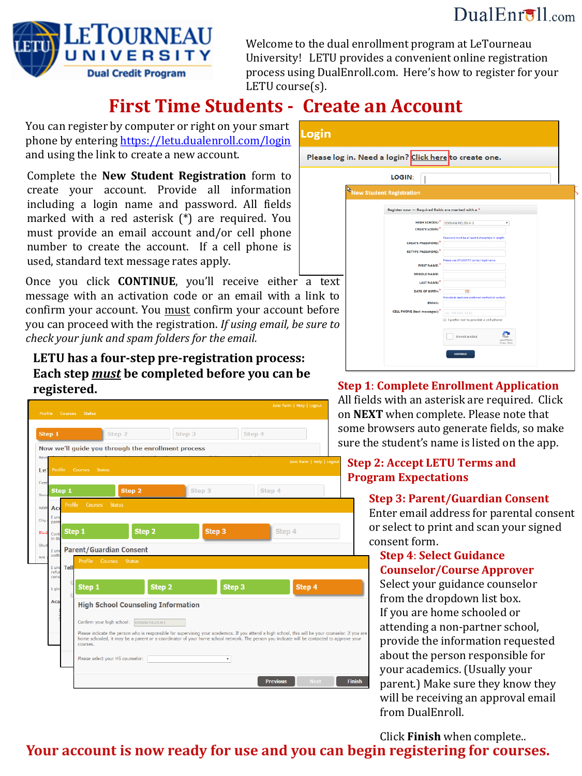## $DualErr31_{com}$



Welcome to the dual enrollment program at LeTourneau University! LETU provides a convenient online registration process using DualEnroll.com. Here's how to register for your LETU course(s).

# **First Time Students - Create an Account**

You can register by computer or right on your smart phone by entering https://letu.dualenroll.com/login and using the link to create a new account.

Complete the **New Student Registration** form to create your account. Provide all information including a login name and password. All fields marked with a red asterisk (\*) are required. You must provide an email account and/or cell phone number to create the account. If a cell phone is used, standard text message rates apply.

Once you click **CONTINUE**, you'll receive either a text message with an activation code or an email with a link to confirm your account. You must confirm your account before you can proceed with the registration. *If using email, be sure to check your junk and spam folders for the email.*

#### **LETU has a four-step pre-registration process: Each step** *must* **be completed before you can be registered.**

| Step 1                     |                                  | Step 2                                             | Step 3                                                                                                                                                                                                                                                                                   | Step 4 | som<br>sur                |  |  |
|----------------------------|----------------------------------|----------------------------------------------------|------------------------------------------------------------------------------------------------------------------------------------------------------------------------------------------------------------------------------------------------------------------------------------------|--------|---------------------------|--|--|
| Revi                       |                                  | Now we'll guide you through the enrollment process |                                                                                                                                                                                                                                                                                          |        |                           |  |  |
| Profile<br>Le <sub>1</sub> | Courses Status                   |                                                    |                                                                                                                                                                                                                                                                                          |        | Jane Farm   Help   Logout |  |  |
| First                      |                                  |                                                    |                                                                                                                                                                                                                                                                                          |        |                           |  |  |
| Step 1<br>Socia            |                                  | Step 2                                             | Step 3                                                                                                                                                                                                                                                                                   | Step 4 |                           |  |  |
| Addr<br>Ac                 | Profile<br><b>Courses</b>        | <b>Status</b>                                      |                                                                                                                                                                                                                                                                                          |        |                           |  |  |
| I un<br>City:<br>pern      |                                  |                                                    |                                                                                                                                                                                                                                                                                          |        |                           |  |  |
| Stud<br>Cont<br>in th      | Step 1                           | Step <sub>2</sub>                                  | Step <sub>3</sub>                                                                                                                                                                                                                                                                        |        | Step 4                    |  |  |
| Stud<br>I und              | <b>Parent/Guardian Consent</b>   |                                                    |                                                                                                                                                                                                                                                                                          |        |                           |  |  |
| outli<br>Are               | Profile                          | Courses<br><b>Status</b>                           |                                                                                                                                                                                                                                                                                          |        |                           |  |  |
| I und<br>refu<br>cons      | Tell                             |                                                    |                                                                                                                                                                                                                                                                                          |        |                           |  |  |
| I giv                      | Step 1                           | Step 2                                             |                                                                                                                                                                                                                                                                                          | Step 3 | Step 4                    |  |  |
| Aca                        |                                  | <b>High School Counseling Information</b>          |                                                                                                                                                                                                                                                                                          |        |                           |  |  |
|                            |                                  |                                                    |                                                                                                                                                                                                                                                                                          |        |                           |  |  |
|                            | Confirm your high school:        | ELYSIAN FIELDS H S                                 |                                                                                                                                                                                                                                                                                          |        |                           |  |  |
|                            | courses.                         |                                                    | Please indicate the person who is responsible for supervising your academics. If you attend a high school, this will be your counselor. If yo<br>home schooled, it may be a parent or a coordinator of your home school network. The person you indicate will be contacted to approve yo |        |                           |  |  |
|                            | Please select your HS counselor: |                                                    | ۰                                                                                                                                                                                                                                                                                        |        |                           |  |  |

# Login Please log in. Need a login? Click here to create one. LOGIN: 1

| <b>R</b> New Student Registration                                             |
|-------------------------------------------------------------------------------|
|                                                                               |
| Register now - Required fields are marked with a *                            |
|                                                                               |
| <b>HIGH SCHOOL:</b><br><b>ELYSIAN FIELDS H S</b><br>٠<br><b>CREATE LOGIN:</b> |
|                                                                               |
| Password must be at least 6 characters in length:<br><b>CREATE PASSWORD:</b>  |
| <b>RETYPE PASSWORD:</b>                                                       |
|                                                                               |
| Please use STUDENT'S correct legal name:<br><b>FIRST NAME:</b>                |
| MIDDLE NAME:                                                                  |
| LAST NAME:                                                                    |
|                                                                               |
| DATE OF BIRTH:"<br>m.<br>Provide at least one preferred method of contact:    |
| <b>EMAIL:</b>                                                                 |
| <b>CELL PHONE</b> (text messages):<br>ex: 703-555-1212                        |
| I prefer not to provide a cell phone                                          |
|                                                                               |
| I'm not a robot                                                               |
| NICAPTONA<br>Privacy - Terms                                                  |
|                                                                               |
| <b>CONTINUE</b>                                                               |

#### **Step 1**: **Complete Enrollment Application**

fields with an asterisk are required. Click **NEXT** when complete. Please note that ie browsers auto generate fields, so make e the student's name is listed on the app.

#### **Step 2: Accept LETU Terms and Program Expectations**

#### **Step 3: Parent/Guardian Consent**

Enter email address for parental consent or select to print and scan your signed consent form.

#### **Step 4**: **Select Guidance Counselor/Course Approver**

Select your guidance counselor from the dropdown list box. If you are home schooled or attending a non-partner school, provide the information requested about the person responsible for your academics. (Usually your parent.) Make sure they know they will be receiving an approval email from DualEnroll.

Click **Finish** when complete..

## **Your account is now ready for use and you can begin registering for courses.**